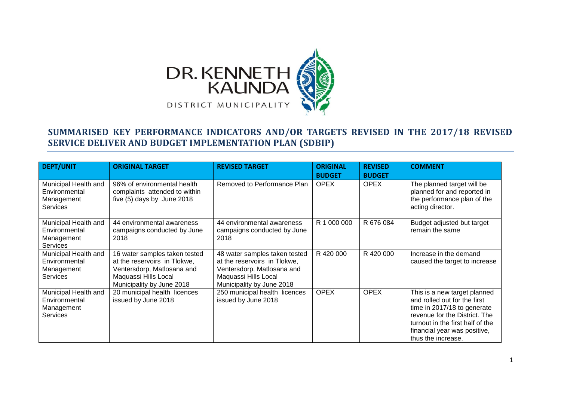

## **SUMMARISED KEY PERFORMANCE INDICATORS AND/OR TARGETS REVISED IN THE 2017/18 REVISED SERVICE DELIVER AND BUDGET IMPLEMENTATION PLAN (SDBIP)**

| <b>DEPT/UNIT</b>                                                       | <b>ORIGINAL TARGET</b>                                                                                                                           | <b>REVISED TARGET</b>                                                                                                                            | <b>ORIGINAL</b><br><b>BUDGET</b> | <b>REVISED</b><br><b>BUDGET</b> | <b>COMMENT</b>                                                                                                                                                                                                         |
|------------------------------------------------------------------------|--------------------------------------------------------------------------------------------------------------------------------------------------|--------------------------------------------------------------------------------------------------------------------------------------------------|----------------------------------|---------------------------------|------------------------------------------------------------------------------------------------------------------------------------------------------------------------------------------------------------------------|
| Municipal Health and<br>Environmental<br>Management<br><b>Services</b> | 96% of environmental health<br>complaints attended to within<br>five (5) days by June 2018                                                       | Removed to Performance Plan                                                                                                                      | <b>OPEX</b>                      | <b>OPEX</b>                     | The planned target will be<br>planned for and reported in<br>the performance plan of the<br>acting director.                                                                                                           |
| Municipal Health and<br>Environmental<br>Management<br><b>Services</b> | 44 environmental awareness<br>campaigns conducted by June<br>2018                                                                                | 44 environmental awareness<br>campaigns conducted by June<br>2018                                                                                | R 1 000 000                      | R 676 084                       | Budget adjusted but target<br>remain the same                                                                                                                                                                          |
| Municipal Health and<br>Environmental<br>Management<br><b>Services</b> | 16 water samples taken tested<br>at the reservoirs in Tlokwe,<br>Ventersdorp, Matlosana and<br>Maquassi Hills Local<br>Municipality by June 2018 | 48 water samples taken tested<br>at the reservoirs in Tlokwe,<br>Ventersdorp, Matlosana and<br>Maquassi Hills Local<br>Municipality by June 2018 | R 420 000                        | R 420 000                       | Increase in the demand<br>caused the target to increase                                                                                                                                                                |
| Municipal Health and<br>Environmental<br>Management<br><b>Services</b> | 20 municipal health licences<br>issued by June 2018                                                                                              | 250 municipal health licences<br>issued by June 2018                                                                                             | <b>OPEX</b>                      | <b>OPEX</b>                     | This is a new target planned<br>and rolled out for the first<br>time in 2017/18 to generate<br>revenue for the District. The<br>turnout in the first half of the<br>financial year was positive,<br>thus the increase. |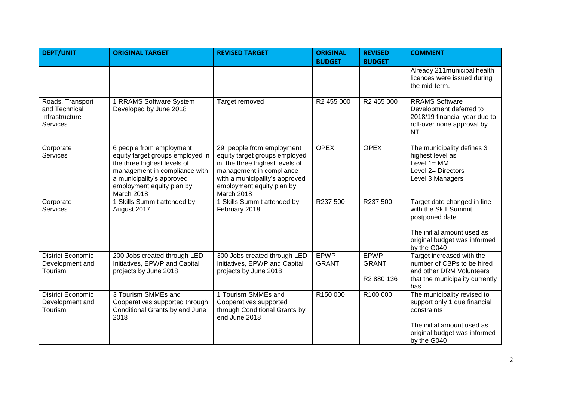| <b>DEPT/UNIT</b>                                                       | <b>ORIGINAL TARGET</b>                                                                                                                                                                               | <b>REVISED TARGET</b>                                                                                                                                                                                 | <b>ORIGINAL</b>             | <b>REVISED</b>                     | <b>COMMENT</b>                                                                                                                                          |
|------------------------------------------------------------------------|------------------------------------------------------------------------------------------------------------------------------------------------------------------------------------------------------|-------------------------------------------------------------------------------------------------------------------------------------------------------------------------------------------------------|-----------------------------|------------------------------------|---------------------------------------------------------------------------------------------------------------------------------------------------------|
|                                                                        |                                                                                                                                                                                                      |                                                                                                                                                                                                       | <b>BUDGET</b>               | <b>BUDGET</b>                      |                                                                                                                                                         |
|                                                                        |                                                                                                                                                                                                      |                                                                                                                                                                                                       |                             |                                    | Already 211 municipal health<br>licences were issued during<br>the mid-term.                                                                            |
| Roads, Transport<br>and Technical<br>Infrastructure<br><b>Services</b> | 1 RRAMS Software System<br>Developed by June 2018                                                                                                                                                    | Target removed                                                                                                                                                                                        | R2 455 000                  | R2 455 000                         | <b>RRAMS Software</b><br>Development deferred to<br>2018/19 financial year due to<br>roll-over none approval by<br><b>NT</b>                            |
| Corporate<br><b>Services</b>                                           | 6 people from employment<br>equity target groups employed in<br>the three highest levels of<br>management in compliance with<br>a municipality's approved<br>employment equity plan by<br>March 2018 | 29 people from employment<br>equity target groups employed<br>in the three highest levels of<br>management in compliance<br>with a municipality's approved<br>employment equity plan by<br>March 2018 | <b>OPEX</b>                 | <b>OPEX</b>                        | The municipality defines 3<br>highest level as<br>Level $1 = MM$<br>Level 2= Directors<br>Level 3 Managers                                              |
| Corporate<br><b>Services</b>                                           | 1 Skills Summit attended by<br>August 2017                                                                                                                                                           | 1 Skills Summit attended by<br>February 2018                                                                                                                                                          | R237 500                    | R237 500                           | Target date changed in line<br>with the Skill Summit<br>postponed date<br>The initial amount used as<br>original budget was informed<br>by the G040     |
| <b>District Economic</b><br>Development and<br>Tourism                 | 200 Jobs created through LED<br>Initiatives, EPWP and Capital<br>projects by June 2018                                                                                                               | 300 Jobs created through LED<br>Initiatives, EPWP and Capital<br>projects by June 2018                                                                                                                | <b>EPWP</b><br><b>GRANT</b> | EPWP<br><b>GRANT</b><br>R2 880 136 | Target increased with the<br>number of CBPs to be hired<br>and other DRM Volunteers<br>that the municipality currently<br>has                           |
| <b>District Economic</b><br>Development and<br>Tourism                 | 3 Tourism SMMEs and<br>Cooperatives supported through<br>Conditional Grants by end June<br>2018                                                                                                      | 1 Tourism SMMEs and<br>Cooperatives supported<br>through Conditional Grants by<br>end June 2018                                                                                                       | R150 000                    | R100 000                           | The municipality revised to<br>support only 1 due financial<br>constraints<br>The initial amount used as<br>original budget was informed<br>by the G040 |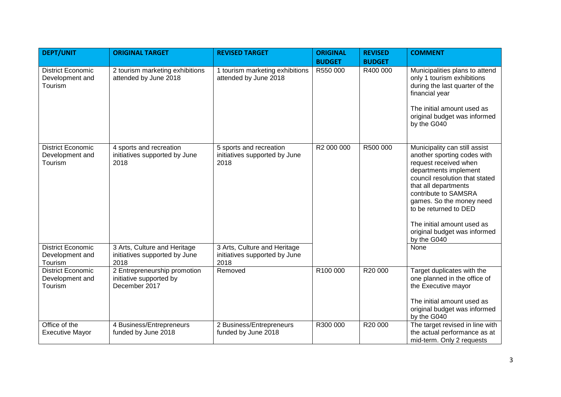| <b>DEPT/UNIT</b>                                       | <b>ORIGINAL TARGET</b>                                                   | <b>REVISED TARGET</b>                                                 | <b>ORIGINAL</b> | <b>REVISED</b> | <b>COMMENT</b>                                                                                                                                                                                                                                                                                                                     |
|--------------------------------------------------------|--------------------------------------------------------------------------|-----------------------------------------------------------------------|-----------------|----------------|------------------------------------------------------------------------------------------------------------------------------------------------------------------------------------------------------------------------------------------------------------------------------------------------------------------------------------|
|                                                        |                                                                          |                                                                       | <b>BUDGET</b>   | <b>BUDGET</b>  |                                                                                                                                                                                                                                                                                                                                    |
| <b>District Economic</b><br>Development and<br>Tourism | 2 tourism marketing exhibitions<br>attended by June 2018                 | 1 tourism marketing exhibitions<br>attended by June 2018              | R550 000        | R400 000       | Municipalities plans to attend<br>only 1 tourism exhibitions<br>during the last quarter of the<br>financial year<br>The initial amount used as<br>original budget was informed<br>by the G040                                                                                                                                      |
| <b>District Economic</b><br>Development and<br>Tourism | 4 sports and recreation<br>initiatives supported by June<br>2018         | 5 sports and recreation<br>initiatives supported by June<br>2018      | R2 000 000      | R500 000       | Municipality can still assist<br>another sporting codes with<br>request received when<br>departments implement<br>council resolution that stated<br>that all departments<br>contribute to SAMSRA<br>games. So the money need<br>to be returned to DED<br>The initial amount used as<br>original budget was informed<br>by the G040 |
| <b>District Economic</b><br>Development and<br>Tourism | 3 Arts, Culture and Heritage<br>initiatives supported by June<br>2018    | 3 Arts, Culture and Heritage<br>initiatives supported by June<br>2018 |                 |                | None                                                                                                                                                                                                                                                                                                                               |
| <b>District Economic</b><br>Development and<br>Tourism | 2 Entrepreneurship promotion<br>initiative supported by<br>December 2017 | Removed                                                               | R100 000        | R20 000        | Target duplicates with the<br>one planned in the office of<br>the Executive mayor<br>The initial amount used as<br>original budget was informed<br>by the G040                                                                                                                                                                     |
| Office of the<br><b>Executive Mayor</b>                | 4 Business/Entrepreneurs<br>funded by June 2018                          | 2 Business/Entrepreneurs<br>funded by June 2018                       | R300 000        | R20 000        | The target revised in line with<br>the actual performance as at<br>mid-term. Only 2 requests                                                                                                                                                                                                                                       |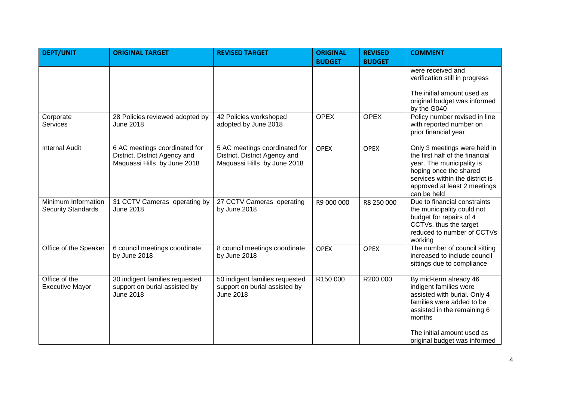| <b>DEPT/UNIT</b>                                 | <b>ORIGINAL TARGET</b>                                                                        | <b>REVISED TARGET</b>                                                                         | <b>ORIGINAL</b><br><b>BUDGET</b> | <b>REVISED</b><br><b>BUDGET</b> | <b>COMMENT</b>                                                                                                                                                                                                       |
|--------------------------------------------------|-----------------------------------------------------------------------------------------------|-----------------------------------------------------------------------------------------------|----------------------------------|---------------------------------|----------------------------------------------------------------------------------------------------------------------------------------------------------------------------------------------------------------------|
|                                                  |                                                                                               |                                                                                               |                                  |                                 | were received and<br>verification still in progress<br>The initial amount used as<br>original budget was informed<br>by the G040                                                                                     |
| Corporate<br><b>Services</b>                     | 28 Policies reviewed adopted by<br><b>June 2018</b>                                           | 42 Policies workshoped<br>adopted by June 2018                                                | <b>OPEX</b>                      | <b>OPEX</b>                     | Policy number revised in line<br>with reported number on<br>prior financial year                                                                                                                                     |
| <b>Internal Audit</b>                            | 6 AC meetings coordinated for<br>District, District Agency and<br>Maquassi Hills by June 2018 | 5 AC meetings coordinated for<br>District, District Agency and<br>Maquassi Hills by June 2018 | <b>OPEX</b>                      | <b>OPEX</b>                     | Only 3 meetings were held in<br>the first half of the financial<br>year. The municipality is<br>hoping once the shared<br>services within the district is<br>approved at least 2 meetings<br>can be held             |
| Minimum Information<br><b>Security Standards</b> | 31 CCTV Cameras operating by<br><b>June 2018</b>                                              | 27 CCTV Cameras operating<br>by June 2018                                                     | R9 000 000                       | R8 250 000                      | Due to financial constraints<br>the municipality could not<br>budget for repairs of 4<br>CCTVs, thus the target<br>reduced to number of CCTVs<br>working                                                             |
| Office of the Speaker                            | 6 council meetings coordinate<br>by June 2018                                                 | 8 council meetings coordinate<br>by June 2018                                                 | <b>OPEX</b>                      | <b>OPEX</b>                     | The number of council sitting<br>increased to include council<br>sittings due to compliance                                                                                                                          |
| Office of the<br><b>Executive Mayor</b>          | 30 indigent families requested<br>support on burial assisted by<br><b>June 2018</b>           | 50 indigent families requested<br>support on burial assisted by<br><b>June 2018</b>           | R150 000                         | R200 000                        | By mid-term already 46<br>indigent families were<br>assisted with burial. Only 4<br>families were added to be<br>assisted in the remaining 6<br>months<br>The initial amount used as<br>original budget was informed |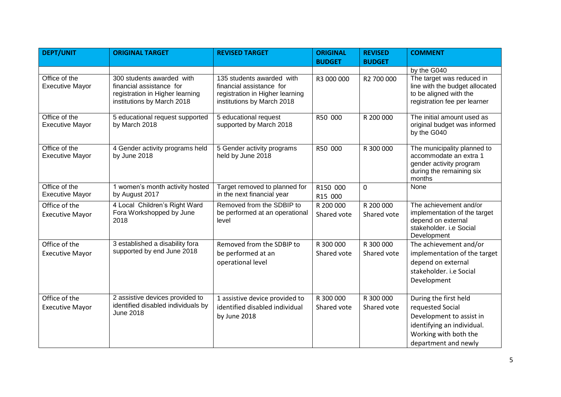| <b>DEPT/UNIT</b>                        | <b>ORIGINAL TARGET</b>                                                                                                 | <b>REVISED TARGET</b>                                                                                                  | <b>ORIGINAL</b>          | <b>REVISED</b>           | <b>COMMENT</b>                                                                                                                                       |
|-----------------------------------------|------------------------------------------------------------------------------------------------------------------------|------------------------------------------------------------------------------------------------------------------------|--------------------------|--------------------------|------------------------------------------------------------------------------------------------------------------------------------------------------|
|                                         |                                                                                                                        |                                                                                                                        | <b>BUDGET</b>            | <b>BUDGET</b>            |                                                                                                                                                      |
|                                         |                                                                                                                        |                                                                                                                        |                          |                          | by the G040                                                                                                                                          |
| Office of the<br><b>Executive Mayor</b> | 300 students awarded with<br>financial assistance for<br>registration in Higher learning<br>institutions by March 2018 | 135 students awarded with<br>financial assistance for<br>registration in Higher learning<br>institutions by March 2018 | R3 000 000               | R2 700 000               | The target was reduced in<br>line with the budget allocated<br>to be aligned with the<br>registration fee per learner                                |
| Office of the<br><b>Executive Mayor</b> | 5 educational request supported<br>by March 2018                                                                       | 5 educational request<br>supported by March 2018                                                                       | R50 000                  | R 200 000                | The initial amount used as<br>original budget was informed<br>by the G040                                                                            |
| Office of the<br><b>Executive Mayor</b> | 4 Gender activity programs held<br>by June 2018                                                                        | 5 Gender activity programs<br>held by June 2018                                                                        | R50 000                  | R 300 000                | The municipality planned to<br>accommodate an extra 1<br>gender activity program<br>during the remaining six<br>months                               |
| Office of the<br><b>Executive Mayor</b> | 1 women's month activity hosted<br>by August 2017                                                                      | Target removed to planned for<br>in the next financial year                                                            | R150 000<br>R15 000      | $\overline{0}$           | None                                                                                                                                                 |
| Office of the<br><b>Executive Mayor</b> | 4 Local Children's Right Ward<br>Fora Workshopped by June<br>2018                                                      | Removed from the SDBIP to<br>be performed at an operational<br>level                                                   | R 200 000<br>Shared vote | R 200 000<br>Shared vote | The achievement and/or<br>implementation of the target<br>depend on external<br>stakeholder. i.e Social<br>Development                               |
| Office of the                           | 3 established a disability fora                                                                                        | Removed from the SDBIP to                                                                                              | R 300 000                | R 300 000                | The achievement and/or                                                                                                                               |
| <b>Executive Mayor</b>                  | supported by end June 2018                                                                                             | be performed at an                                                                                                     | Shared vote              | Shared vote              | implementation of the target                                                                                                                         |
|                                         |                                                                                                                        | operational level                                                                                                      |                          |                          | depend on external                                                                                                                                   |
|                                         |                                                                                                                        |                                                                                                                        |                          |                          | stakeholder. i.e Social                                                                                                                              |
|                                         |                                                                                                                        |                                                                                                                        |                          |                          | Development                                                                                                                                          |
|                                         |                                                                                                                        |                                                                                                                        |                          |                          |                                                                                                                                                      |
| Office of the<br><b>Executive Mayor</b> | 2 assistive devices provided to<br>identified disabled individuals by<br><b>June 2018</b>                              | 1 assistive device provided to<br>identified disabled individual<br>by June 2018                                       | R 300 000<br>Shared vote | R 300 000<br>Shared vote | During the first held<br>requested Social<br>Development to assist in<br>identifying an individual.<br>Working with both the<br>department and newly |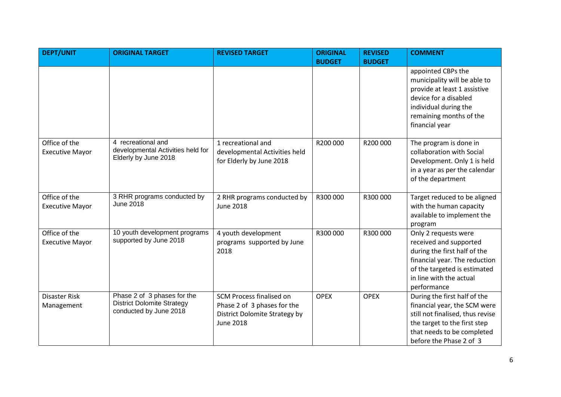| <b>DEPT/UNIT</b>                        | <b>ORIGINAL TARGET</b>                                                                     | <b>REVISED TARGET</b>                                                                                        | <b>ORIGINAL</b> | <b>REVISED</b> | <b>COMMENT</b>                                                                                                                                                                            |
|-----------------------------------------|--------------------------------------------------------------------------------------------|--------------------------------------------------------------------------------------------------------------|-----------------|----------------|-------------------------------------------------------------------------------------------------------------------------------------------------------------------------------------------|
|                                         |                                                                                            |                                                                                                              | <b>BUDGET</b>   | <b>BUDGET</b>  |                                                                                                                                                                                           |
|                                         |                                                                                            |                                                                                                              |                 |                | appointed CBPs the<br>municipality will be able to<br>provide at least 1 assistive<br>device for a disabled<br>individual during the<br>remaining months of the<br>financial year         |
| Office of the<br><b>Executive Mayor</b> | 4 recreational and<br>developmental Activities held for<br>Elderly by June 2018            | 1 recreational and<br>developmental Activities held<br>for Elderly by June 2018                              | R200 000        | R200 000       | The program is done in<br>collaboration with Social<br>Development. Only 1 is held<br>in a year as per the calendar<br>of the department                                                  |
| Office of the<br><b>Executive Mayor</b> | 3 RHR programs conducted by<br><b>June 2018</b>                                            | 2 RHR programs conducted by<br><b>June 2018</b>                                                              | R300 000        | R300 000       | Target reduced to be aligned<br>with the human capacity<br>available to implement the<br>program                                                                                          |
| Office of the<br><b>Executive Mayor</b> | 10 youth development programs<br>supported by June 2018                                    | 4 youth development<br>programs supported by June<br>2018                                                    | R300 000        | R300 000       | Only 2 requests were<br>received and supported<br>during the first half of the<br>financial year. The reduction<br>of the targeted is estimated<br>in line with the actual<br>performance |
| <b>Disaster Risk</b><br>Management      | Phase 2 of 3 phases for the<br><b>District Dolomite Strategy</b><br>conducted by June 2018 | SCM Process finalised on<br>Phase 2 of 3 phases for the<br>District Dolomite Strategy by<br><b>June 2018</b> | <b>OPEX</b>     | <b>OPEX</b>    | During the first half of the<br>financial year, the SCM were<br>still not finalised, thus revise<br>the target to the first step<br>that needs to be completed<br>before the Phase 2 of 3 |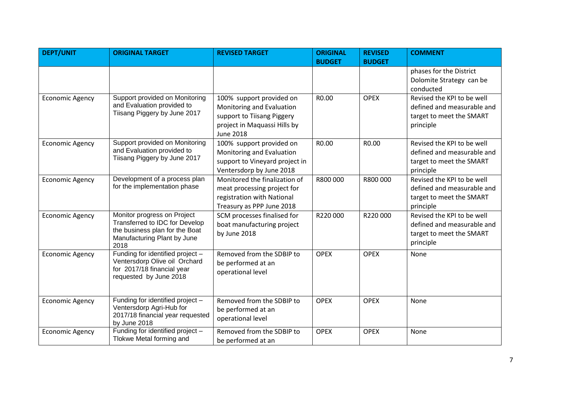| <b>DEPT/UNIT</b>       | <b>ORIGINAL TARGET</b>                                                                                                                 | <b>REVISED TARGET</b>                                                                                                                   | <b>ORIGINAL</b><br><b>BUDGET</b> | <b>REVISED</b><br><b>BUDGET</b> | <b>COMMENT</b>                                                                                    |
|------------------------|----------------------------------------------------------------------------------------------------------------------------------------|-----------------------------------------------------------------------------------------------------------------------------------------|----------------------------------|---------------------------------|---------------------------------------------------------------------------------------------------|
|                        |                                                                                                                                        |                                                                                                                                         |                                  |                                 | phases for the District<br>Dolomite Strategy can be<br>conducted                                  |
| <b>Economic Agency</b> | Support provided on Monitoring<br>and Evaluation provided to<br>Tiisang Piggery by June 2017                                           | 100% support provided on<br>Monitoring and Evaluation<br>support to Tiisang Piggery<br>project in Maquassi Hills by<br><b>June 2018</b> | R0.00                            | <b>OPEX</b>                     | Revised the KPI to be well<br>defined and measurable and<br>target to meet the SMART<br>principle |
| <b>Economic Agency</b> | Support provided on Monitoring<br>and Evaluation provided to<br>Tiisang Piggery by June 2017                                           | 100% support provided on<br>Monitoring and Evaluation<br>support to Vineyard project in<br>Ventersdorp by June 2018                     | R0.00                            | R0.00                           | Revised the KPI to be well<br>defined and measurable and<br>target to meet the SMART<br>principle |
| <b>Economic Agency</b> | Development of a process plan<br>for the implementation phase                                                                          | Monitored the finalization of<br>meat processing project for<br>registration with National<br>Treasury as PPP June 2018                 | R800 000                         | R800 000                        | Revised the KPI to be well<br>defined and measurable and<br>target to meet the SMART<br>principle |
| <b>Economic Agency</b> | Monitor progress on Project<br>Transferred to IDC for Develop<br>the business plan for the Boat<br>Manufacturing Plant by June<br>2018 | SCM processes finalised for<br>boat manufacturing project<br>by June 2018                                                               | R220000                          | R220000                         | Revised the KPI to be well<br>defined and measurable and<br>target to meet the SMART<br>principle |
| <b>Economic Agency</b> | Funding for identified project -<br>Ventersdorp Olive oil Orchard<br>for 2017/18 financial year<br>requested by June 2018              | Removed from the SDBIP to<br>be performed at an<br>operational level                                                                    | <b>OPEX</b>                      | <b>OPEX</b>                     | None                                                                                              |
| <b>Economic Agency</b> | Funding for identified project -<br>Ventersdorp Agri-Hub for<br>2017/18 financial year requested<br>by June 2018                       | Removed from the SDBIP to<br>be performed at an<br>operational level                                                                    | <b>OPEX</b>                      | <b>OPEX</b>                     | None                                                                                              |
| <b>Economic Agency</b> | Funding for identified project -<br>Tlokwe Metal forming and                                                                           | Removed from the SDBIP to<br>be performed at an                                                                                         | <b>OPEX</b>                      | <b>OPEX</b>                     | None                                                                                              |